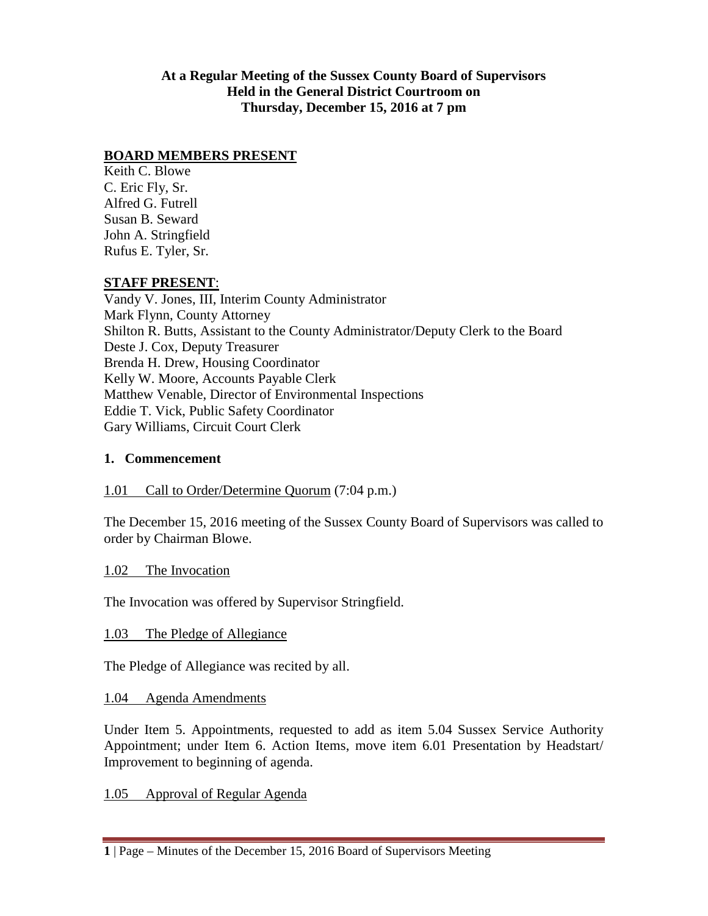**At a Regular Meeting of the Sussex County Board of Supervisors Held in the General District Courtroom on Thursday, December 15, 2016 at 7 pm**

## **BOARD MEMBERS PRESENT**

Keith C. Blowe C. Eric Fly, Sr. Alfred G. Futrell Susan B. Seward John A. Stringfield Rufus E. Tyler, Sr.

### **STAFF PRESENT**:

Vandy V. Jones, III, Interim County Administrator Mark Flynn, County Attorney Shilton R. Butts, Assistant to the County Administrator/Deputy Clerk to the Board Deste J. Cox, Deputy Treasurer Brenda H. Drew, Housing Coordinator Kelly W. Moore, Accounts Payable Clerk Matthew Venable, Director of Environmental Inspections Eddie T. Vick, Public Safety Coordinator Gary Williams, Circuit Court Clerk

### **1. Commencement**

### 1.01 Call to Order/Determine Quorum (7:04 p.m.)

The December 15, 2016 meeting of the Sussex County Board of Supervisors was called to order by Chairman Blowe.

1.02 The Invocation

The Invocation was offered by Supervisor Stringfield.

### 1.03 The Pledge of Allegiance

The Pledge of Allegiance was recited by all.

### 1.04 Agenda Amendments

Under Item 5. Appointments, requested to add as item 5.04 Sussex Service Authority Appointment; under Item 6. Action Items, move item 6.01 Presentation by Headstart/ Improvement to beginning of agenda.

1.05 Approval of Regular Agenda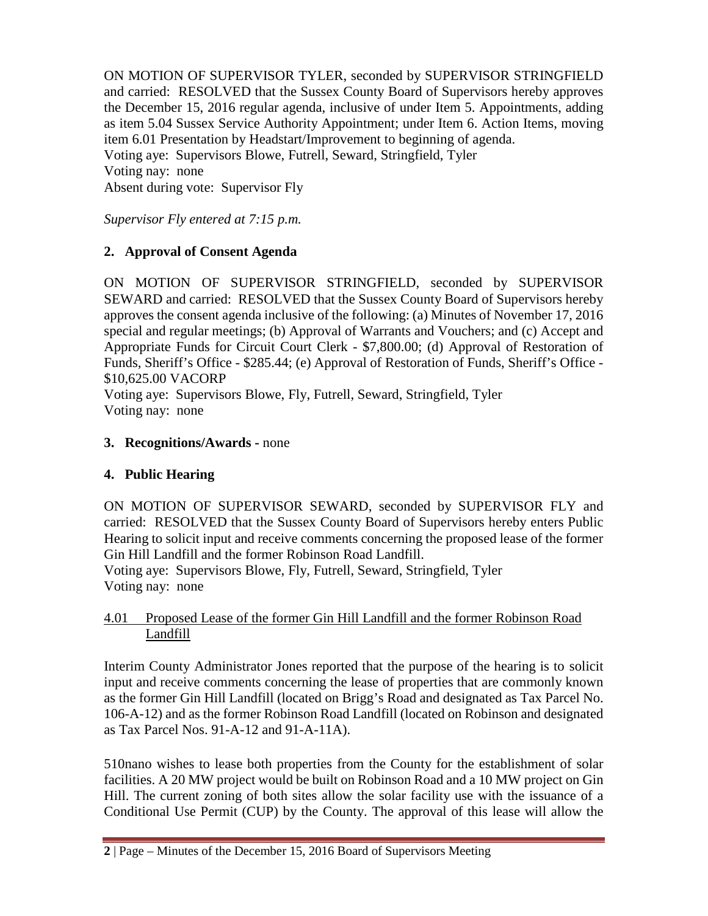ON MOTION OF SUPERVISOR TYLER, seconded by SUPERVISOR STRINGFIELD and carried: RESOLVED that the Sussex County Board of Supervisors hereby approves the December 15, 2016 regular agenda, inclusive of under Item 5. Appointments, adding as item 5.04 Sussex Service Authority Appointment; under Item 6. Action Items, moving item 6.01 Presentation by Headstart/Improvement to beginning of agenda. Voting aye: Supervisors Blowe, Futrell, Seward, Stringfield, Tyler Voting nay: none Absent during vote: Supervisor Fly

*Supervisor Fly entered at 7:15 p.m.*

# **2. Approval of Consent Agenda**

ON MOTION OF SUPERVISOR STRINGFIELD, seconded by SUPERVISOR SEWARD and carried: RESOLVED that the Sussex County Board of Supervisors hereby approves the consent agenda inclusive of the following: (a) Minutes of November 17, 2016 special and regular meetings; (b) Approval of Warrants and Vouchers; and (c) Accept and Appropriate Funds for Circuit Court Clerk - \$7,800.00; (d) Approval of Restoration of Funds, Sheriff's Office - \$285.44; (e) Approval of Restoration of Funds, Sheriff's Office - \$10,625.00 VACORP

Voting aye: Supervisors Blowe, Fly, Futrell, Seward, Stringfield, Tyler Voting nay: none

# **3. Recognitions/Awards -** none

# **4. Public Hearing**

ON MOTION OF SUPERVISOR SEWARD, seconded by SUPERVISOR FLY and carried: RESOLVED that the Sussex County Board of Supervisors hereby enters Public Hearing to solicit input and receive comments concerning the proposed lease of the former Gin Hill Landfill and the former Robinson Road Landfill.

Voting aye: Supervisors Blowe, Fly, Futrell, Seward, Stringfield, Tyler Voting nay: none

## 4.01 Proposed Lease of the former Gin Hill Landfill and the former Robinson Road Landfill

Interim County Administrator Jones reported that the purpose of the hearing is to solicit input and receive comments concerning the lease of properties that are commonly known as the former Gin Hill Landfill (located on Brigg's Road and designated as Tax Parcel No. 106-A-12) and as the former Robinson Road Landfill (located on Robinson and designated as Tax Parcel Nos. 91-A-12 and 91-A-11A).

510nano wishes to lease both properties from the County for the establishment of solar facilities. A 20 MW project would be built on Robinson Road and a 10 MW project on Gin Hill. The current zoning of both sites allow the solar facility use with the issuance of a Conditional Use Permit (CUP) by the County. The approval of this lease will allow the

**<sup>2</sup>** | Page – Minutes of the December 15, 2016 Board of Supervisors Meeting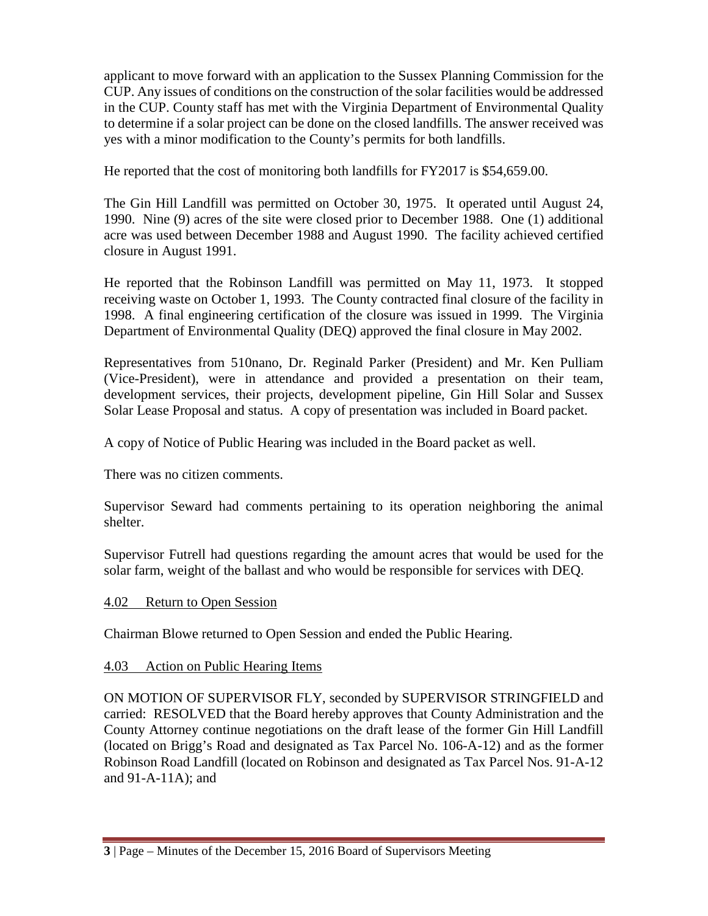applicant to move forward with an application to the Sussex Planning Commission for the CUP. Any issues of conditions on the construction of the solar facilities would be addressed in the CUP. County staff has met with the Virginia Department of Environmental Quality to determine if a solar project can be done on the closed landfills. The answer received was yes with a minor modification to the County's permits for both landfills.

He reported that the cost of monitoring both landfills for FY2017 is \$54,659.00.

The Gin Hill Landfill was permitted on October 30, 1975. It operated until August 24, 1990. Nine (9) acres of the site were closed prior to December 1988. One (1) additional acre was used between December 1988 and August 1990. The facility achieved certified closure in August 1991.

He reported that the Robinson Landfill was permitted on May 11, 1973. It stopped receiving waste on October 1, 1993. The County contracted final closure of the facility in 1998. A final engineering certification of the closure was issued in 1999. The Virginia Department of Environmental Quality (DEQ) approved the final closure in May 2002.

Representatives from 510nano, Dr. Reginald Parker (President) and Mr. Ken Pulliam (Vice-President), were in attendance and provided a presentation on their team, development services, their projects, development pipeline, Gin Hill Solar and Sussex Solar Lease Proposal and status. A copy of presentation was included in Board packet.

A copy of Notice of Public Hearing was included in the Board packet as well.

There was no citizen comments.

Supervisor Seward had comments pertaining to its operation neighboring the animal shelter.

Supervisor Futrell had questions regarding the amount acres that would be used for the solar farm, weight of the ballast and who would be responsible for services with DEQ.

### 4.02 Return to Open Session

Chairman Blowe returned to Open Session and ended the Public Hearing.

## 4.03 Action on Public Hearing Items

ON MOTION OF SUPERVISOR FLY, seconded by SUPERVISOR STRINGFIELD and carried: RESOLVED that the Board hereby approves that County Administration and the County Attorney continue negotiations on the draft lease of the former Gin Hill Landfill (located on Brigg's Road and designated as Tax Parcel No. 106-A-12) and as the former Robinson Road Landfill (located on Robinson and designated as Tax Parcel Nos. 91-A-12 and 91-A-11A); and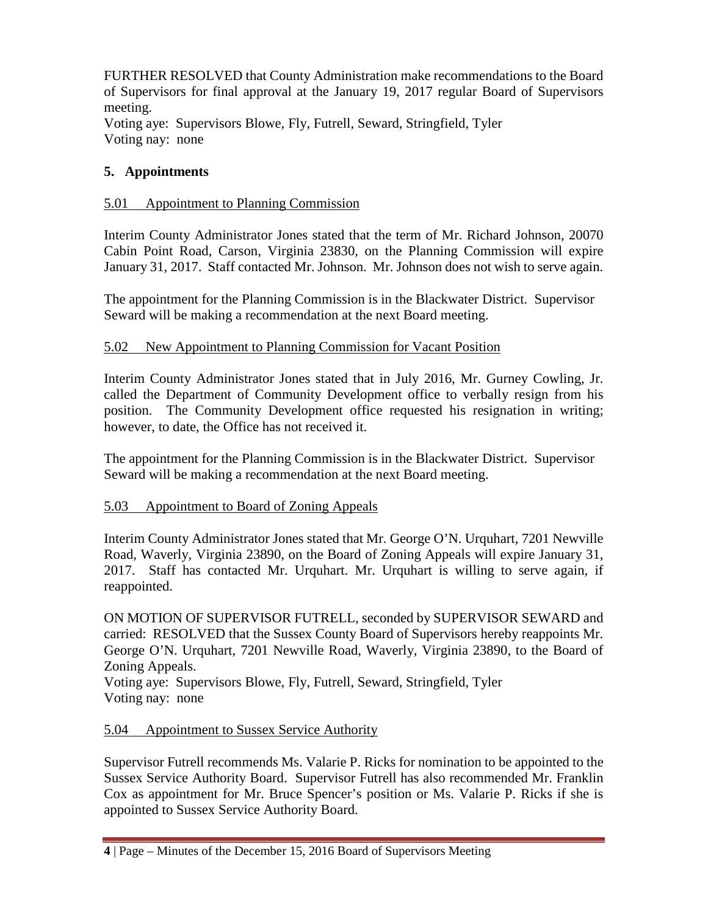FURTHER RESOLVED that County Administration make recommendations to the Board of Supervisors for final approval at the January 19, 2017 regular Board of Supervisors meeting.

Voting aye: Supervisors Blowe, Fly, Futrell, Seward, Stringfield, Tyler Voting nay: none

# **5. Appointments**

## 5.01 Appointment to Planning Commission

Interim County Administrator Jones stated that the term of Mr. Richard Johnson, 20070 Cabin Point Road, Carson, Virginia 23830, on the Planning Commission will expire January 31, 2017. Staff contacted Mr. Johnson. Mr. Johnson does not wish to serve again.

The appointment for the Planning Commission is in the Blackwater District. Supervisor Seward will be making a recommendation at the next Board meeting.

## 5.02 New Appointment to Planning Commission for Vacant Position

Interim County Administrator Jones stated that in July 2016, Mr. Gurney Cowling, Jr. called the Department of Community Development office to verbally resign from his position. The Community Development office requested his resignation in writing; however, to date, the Office has not received it.

The appointment for the Planning Commission is in the Blackwater District. Supervisor Seward will be making a recommendation at the next Board meeting.

## 5.03 Appointment to Board of Zoning Appeals

Interim County Administrator Jones stated that Mr. George O'N. Urquhart, 7201 Newville Road, Waverly, Virginia 23890, on the Board of Zoning Appeals will expire January 31, 2017. Staff has contacted Mr. Urquhart. Mr. Urquhart is willing to serve again, if reappointed.

ON MOTION OF SUPERVISOR FUTRELL, seconded by SUPERVISOR SEWARD and carried: RESOLVED that the Sussex County Board of Supervisors hereby reappoints Mr. George O'N. Urquhart, 7201 Newville Road, Waverly, Virginia 23890, to the Board of Zoning Appeals.

Voting aye: Supervisors Blowe, Fly, Futrell, Seward, Stringfield, Tyler Voting nay: none

## 5.04 Appointment to Sussex Service Authority

Supervisor Futrell recommends Ms. Valarie P. Ricks for nomination to be appointed to the Sussex Service Authority Board. Supervisor Futrell has also recommended Mr. Franklin Cox as appointment for Mr. Bruce Spencer's position or Ms. Valarie P. Ricks if she is appointed to Sussex Service Authority Board.

**<sup>4</sup>** | Page – Minutes of the December 15, 2016 Board of Supervisors Meeting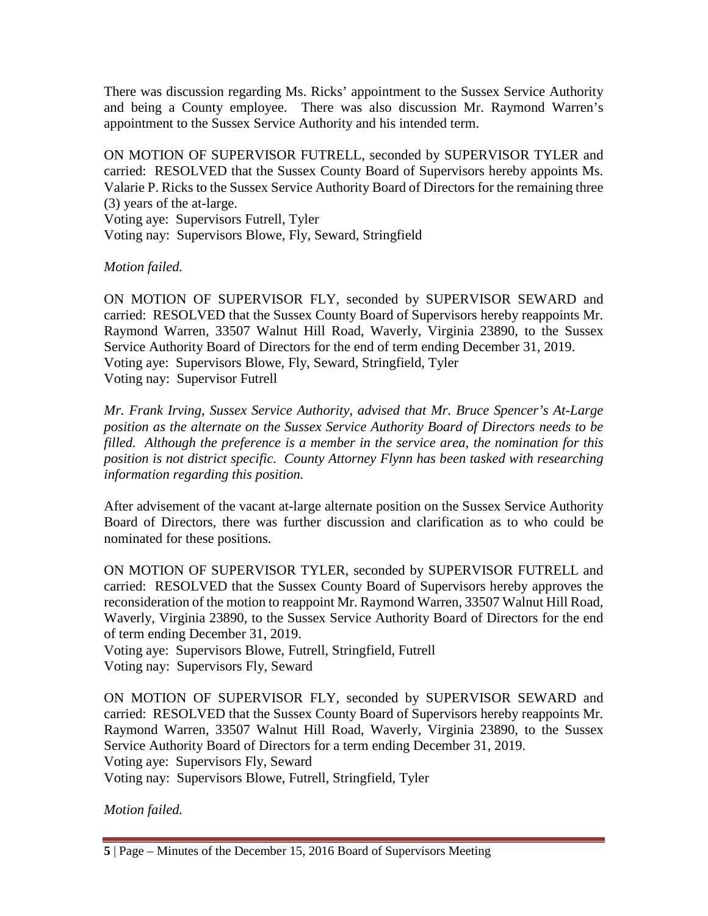There was discussion regarding Ms. Ricks' appointment to the Sussex Service Authority and being a County employee. There was also discussion Mr. Raymond Warren's appointment to the Sussex Service Authority and his intended term.

ON MOTION OF SUPERVISOR FUTRELL, seconded by SUPERVISOR TYLER and carried: RESOLVED that the Sussex County Board of Supervisors hereby appoints Ms. Valarie P. Ricks to the Sussex Service Authority Board of Directors for the remaining three (3) years of the at-large. Voting aye: Supervisors Futrell, Tyler Voting nay: Supervisors Blowe, Fly, Seward, Stringfield

### *Motion failed.*

ON MOTION OF SUPERVISOR FLY, seconded by SUPERVISOR SEWARD and carried: RESOLVED that the Sussex County Board of Supervisors hereby reappoints Mr. Raymond Warren, 33507 Walnut Hill Road, Waverly, Virginia 23890, to the Sussex Service Authority Board of Directors for the end of term ending December 31, 2019. Voting aye: Supervisors Blowe, Fly, Seward, Stringfield, Tyler Voting nay: Supervisor Futrell

*Mr. Frank Irving, Sussex Service Authority, advised that Mr. Bruce Spencer's At-Large position as the alternate on the Sussex Service Authority Board of Directors needs to be filled. Although the preference is a member in the service area, the nomination for this position is not district specific. County Attorney Flynn has been tasked with researching information regarding this position.*

After advisement of the vacant at-large alternate position on the Sussex Service Authority Board of Directors, there was further discussion and clarification as to who could be nominated for these positions.

ON MOTION OF SUPERVISOR TYLER, seconded by SUPERVISOR FUTRELL and carried: RESOLVED that the Sussex County Board of Supervisors hereby approves the reconsideration of the motion to reappoint Mr. Raymond Warren, 33507 Walnut Hill Road, Waverly, Virginia 23890, to the Sussex Service Authority Board of Directors for the end of term ending December 31, 2019.

Voting aye: Supervisors Blowe, Futrell, Stringfield, Futrell Voting nay: Supervisors Fly, Seward

ON MOTION OF SUPERVISOR FLY, seconded by SUPERVISOR SEWARD and carried: RESOLVED that the Sussex County Board of Supervisors hereby reappoints Mr. Raymond Warren, 33507 Walnut Hill Road, Waverly, Virginia 23890, to the Sussex Service Authority Board of Directors for a term ending December 31, 2019. Voting aye: Supervisors Fly, Seward

Voting nay: Supervisors Blowe, Futrell, Stringfield, Tyler

*Motion failed.*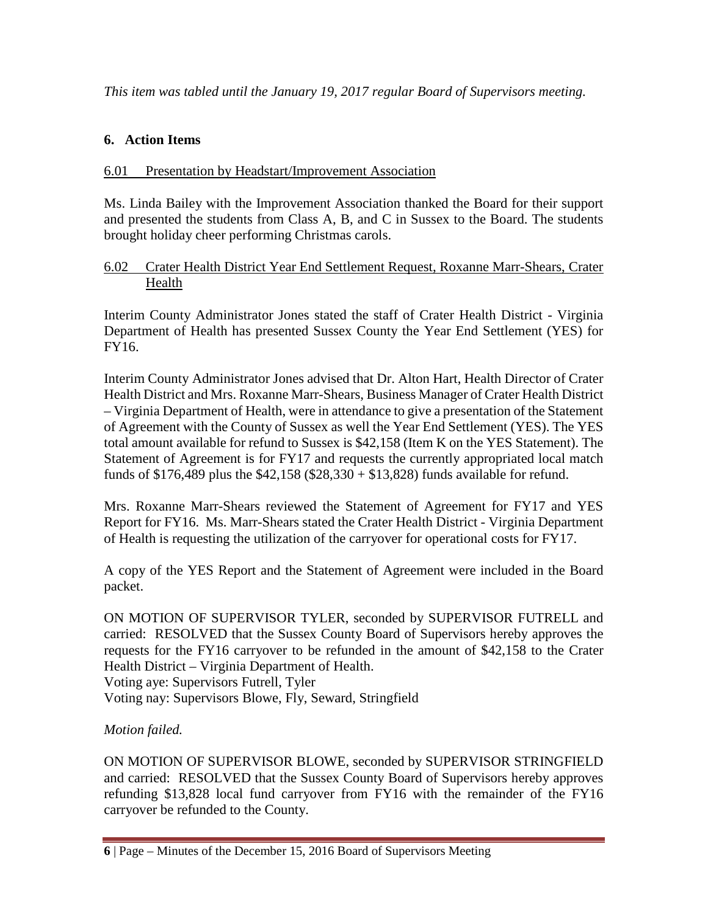*This item was tabled until the January 19, 2017 regular Board of Supervisors meeting.*

# **6. Action Items**

## 6.01 Presentation by Headstart/Improvement Association

Ms. Linda Bailey with the Improvement Association thanked the Board for their support and presented the students from Class A, B, and C in Sussex to the Board. The students brought holiday cheer performing Christmas carols.

## 6.02 Crater Health District Year End Settlement Request, Roxanne Marr-Shears, Crater Health

Interim County Administrator Jones stated the staff of Crater Health District - Virginia Department of Health has presented Sussex County the Year End Settlement (YES) for FY16.

Interim County Administrator Jones advised that Dr. Alton Hart, Health Director of Crater Health District and Mrs. Roxanne Marr-Shears, Business Manager of Crater Health District – Virginia Department of Health, were in attendance to give a presentation of the Statement of Agreement with the County of Sussex as well the Year End Settlement (YES). The YES total amount available for refund to Sussex is \$42,158 (Item K on the YES Statement). The Statement of Agreement is for FY17 and requests the currently appropriated local match funds of \$176,489 plus the \$42,158 (\$28,330 + \$13,828) funds available for refund.

Mrs. Roxanne Marr-Shears reviewed the Statement of Agreement for FY17 and YES Report for FY16. Ms. Marr-Shears stated the Crater Health District - Virginia Department of Health is requesting the utilization of the carryover for operational costs for FY17.

A copy of the YES Report and the Statement of Agreement were included in the Board packet.

ON MOTION OF SUPERVISOR TYLER, seconded by SUPERVISOR FUTRELL and carried: RESOLVED that the Sussex County Board of Supervisors hereby approves the requests for the FY16 carryover to be refunded in the amount of \$42,158 to the Crater Health District – Virginia Department of Health. Voting aye: Supervisors Futrell, Tyler

Voting nay: Supervisors Blowe, Fly, Seward, Stringfield

# *Motion failed.*

ON MOTION OF SUPERVISOR BLOWE, seconded by SUPERVISOR STRINGFIELD and carried: RESOLVED that the Sussex County Board of Supervisors hereby approves refunding \$13,828 local fund carryover from FY16 with the remainder of the FY16 carryover be refunded to the County.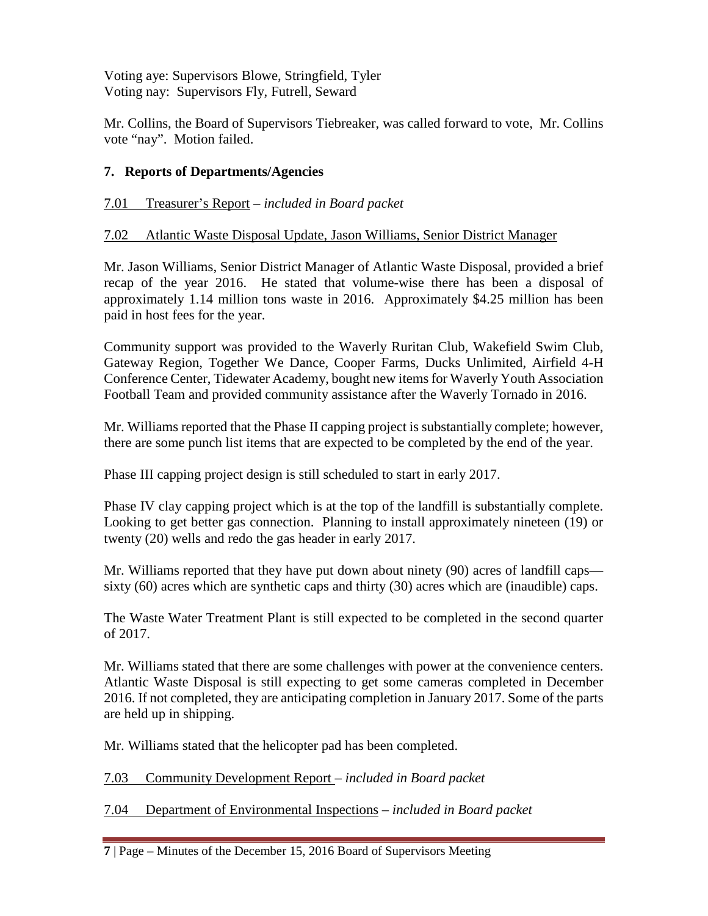Voting aye: Supervisors Blowe, Stringfield, Tyler Voting nay: Supervisors Fly, Futrell, Seward

Mr. Collins, the Board of Supervisors Tiebreaker, was called forward to vote, Mr. Collins vote "nay". Motion failed.

# **7. Reports of Departments/Agencies**

# 7.01 Treasurer's Report – *included in Board packet*

# 7.02 Atlantic Waste Disposal Update, Jason Williams, Senior District Manager

Mr. Jason Williams, Senior District Manager of Atlantic Waste Disposal, provided a brief recap of the year 2016. He stated that volume-wise there has been a disposal of approximately 1.14 million tons waste in 2016. Approximately \$4.25 million has been paid in host fees for the year.

Community support was provided to the Waverly Ruritan Club, Wakefield Swim Club, Gateway Region, Together We Dance, Cooper Farms, Ducks Unlimited, Airfield 4-H Conference Center, Tidewater Academy, bought new items for Waverly Youth Association Football Team and provided community assistance after the Waverly Tornado in 2016.

Mr. Williams reported that the Phase II capping project is substantially complete; however, there are some punch list items that are expected to be completed by the end of the year.

Phase III capping project design is still scheduled to start in early 2017.

Phase IV clay capping project which is at the top of the landfill is substantially complete. Looking to get better gas connection. Planning to install approximately nineteen (19) or twenty (20) wells and redo the gas header in early 2017.

Mr. Williams reported that they have put down about ninety (90) acres of landfill caps sixty (60) acres which are synthetic caps and thirty (30) acres which are (inaudible) caps.

The Waste Water Treatment Plant is still expected to be completed in the second quarter of 2017.

Mr. Williams stated that there are some challenges with power at the convenience centers. Atlantic Waste Disposal is still expecting to get some cameras completed in December 2016. If not completed, they are anticipating completion in January 2017. Some of the parts are held up in shipping.

Mr. Williams stated that the helicopter pad has been completed.

7.03 Community Development Report – *included in Board packet*

7.04 Department of Environmental Inspections – *included in Board packet*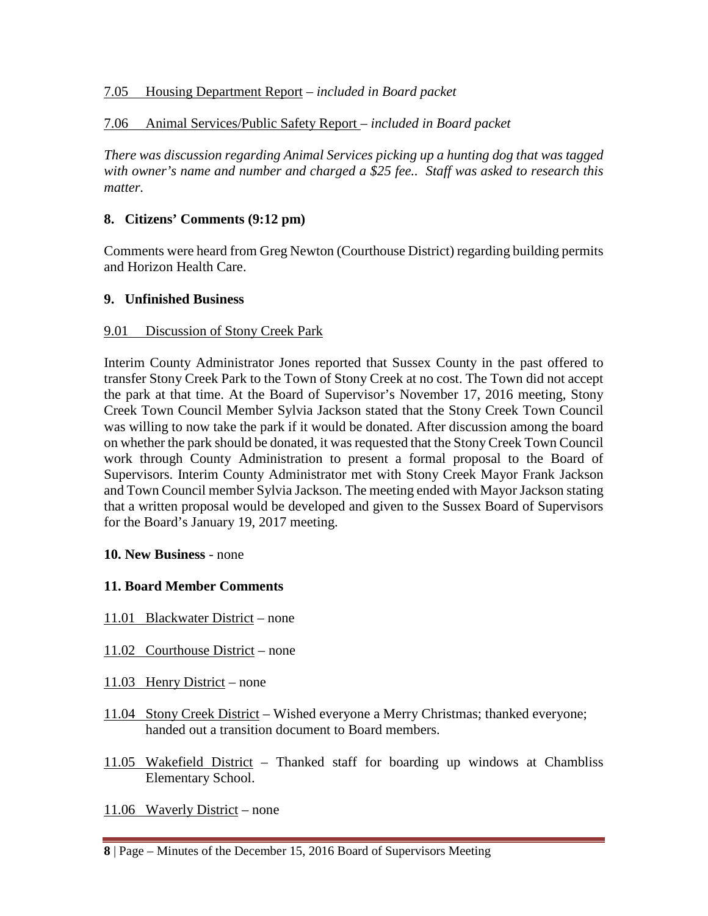## 7.05 Housing Department Report – *included in Board packet*

# 7.06 Animal Services/Public Safety Report – *included in Board packet*

*There was discussion regarding Animal Services picking up a hunting dog that was tagged with owner's name and number and charged a \$25 fee.. Staff was asked to research this matter.*

## **8. Citizens' Comments (9:12 pm)**

Comments were heard from Greg Newton (Courthouse District) regarding building permits and Horizon Health Care.

## **9. Unfinished Business**

### 9.01 Discussion of Stony Creek Park

Interim County Administrator Jones reported that Sussex County in the past offered to transfer Stony Creek Park to the Town of Stony Creek at no cost. The Town did not accept the park at that time. At the Board of Supervisor's November 17, 2016 meeting, Stony Creek Town Council Member Sylvia Jackson stated that the Stony Creek Town Council was willing to now take the park if it would be donated. After discussion among the board on whether the park should be donated, it was requested that the Stony Creek Town Council work through County Administration to present a formal proposal to the Board of Supervisors. Interim County Administrator met with Stony Creek Mayor Frank Jackson and Town Council member Sylvia Jackson. The meeting ended with Mayor Jackson stating that a written proposal would be developed and given to the Sussex Board of Supervisors for the Board's January 19, 2017 meeting.

### **10. New Business** - none

## **11. Board Member Comments**

- 11.01 Blackwater District none
- 11.02 Courthouse District none
- 11.03 Henry District none
- 11.04 Stony Creek District Wished everyone a Merry Christmas; thanked everyone; handed out a transition document to Board members.
- 11.05 Wakefield District Thanked staff for boarding up windows at Chambliss Elementary School.
- 11.06 Waverly District none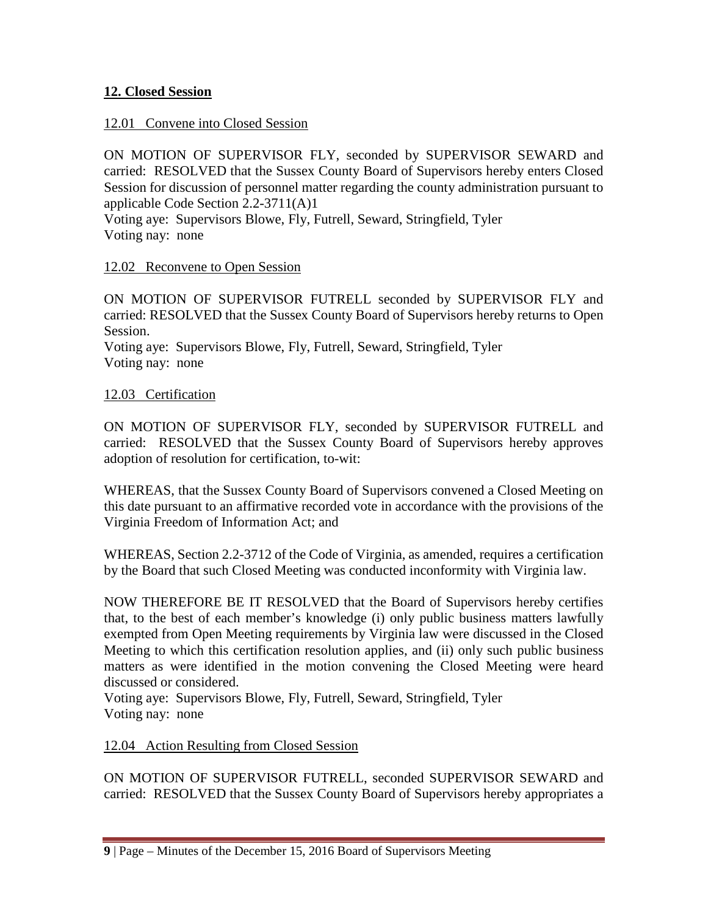# **12. Closed Session**

## 12.01 Convene into Closed Session

ON MOTION OF SUPERVISOR FLY, seconded by SUPERVISOR SEWARD and carried: RESOLVED that the Sussex County Board of Supervisors hereby enters Closed Session for discussion of personnel matter regarding the county administration pursuant to applicable Code Section 2.2-3711(A)1

Voting aye: Supervisors Blowe, Fly, Futrell, Seward, Stringfield, Tyler Voting nay: none

## 12.02 Reconvene to Open Session

ON MOTION OF SUPERVISOR FUTRELL seconded by SUPERVISOR FLY and carried: RESOLVED that the Sussex County Board of Supervisors hereby returns to Open Session.

Voting aye: Supervisors Blowe, Fly, Futrell, Seward, Stringfield, Tyler Voting nay: none

# 12.03 Certification

ON MOTION OF SUPERVISOR FLY, seconded by SUPERVISOR FUTRELL and carried: RESOLVED that the Sussex County Board of Supervisors hereby approves adoption of resolution for certification, to-wit:

WHEREAS, that the Sussex County Board of Supervisors convened a Closed Meeting on this date pursuant to an affirmative recorded vote in accordance with the provisions of the Virginia Freedom of Information Act; and

WHEREAS, Section 2.2-3712 of the Code of Virginia, as amended, requires a certification by the Board that such Closed Meeting was conducted inconformity with Virginia law.

NOW THEREFORE BE IT RESOLVED that the Board of Supervisors hereby certifies that, to the best of each member's knowledge (i) only public business matters lawfully exempted from Open Meeting requirements by Virginia law were discussed in the Closed Meeting to which this certification resolution applies, and (ii) only such public business matters as were identified in the motion convening the Closed Meeting were heard discussed or considered.

Voting aye: Supervisors Blowe, Fly, Futrell, Seward, Stringfield, Tyler Voting nay: none

# 12.04 Action Resulting from Closed Session

ON MOTION OF SUPERVISOR FUTRELL, seconded SUPERVISOR SEWARD and carried: RESOLVED that the Sussex County Board of Supervisors hereby appropriates a